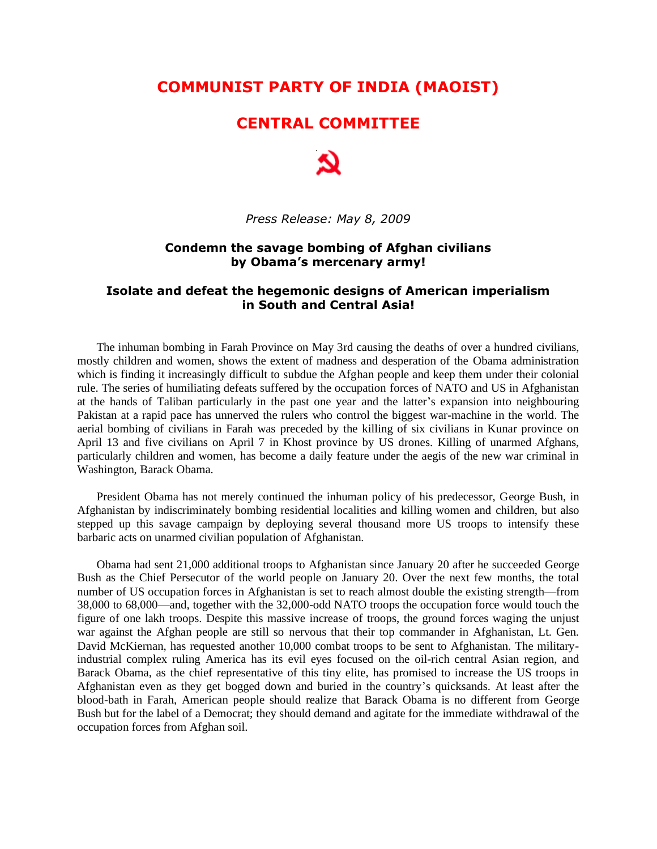# **COMMUNIST PARTY OF INDIA (MAOIST)**

## **CENTRAL COMMITTEE**



*Press Release: May 8, 2009*

#### **Condemn the savage bombing of Afghan civilians by Obama's mercenary army!**

#### **Isolate and defeat the hegemonic designs of American imperialism in South and Central Asia!**

The inhuman bombing in Farah Province on May 3rd causing the deaths of over a hundred civilians, mostly children and women, shows the extent of madness and desperation of the Obama administration which is finding it increasingly difficult to subdue the Afghan people and keep them under their colonial rule. The series of humiliating defeats suffered by the occupation forces of NATO and US in Afghanistan at the hands of Taliban particularly in the past one year and the latter"s expansion into neighbouring Pakistan at a rapid pace has unnerved the rulers who control the biggest war-machine in the world. The aerial bombing of civilians in Farah was preceded by the killing of six civilians in Kunar province on April 13 and five civilians on April 7 in Khost province by US drones. Killing of unarmed Afghans, particularly children and women, has become a daily feature under the aegis of the new war criminal in Washington, Barack Obama.

President Obama has not merely continued the inhuman policy of his predecessor, George Bush, in Afghanistan by indiscriminately bombing residential localities and killing women and children, but also stepped up this savage campaign by deploying several thousand more US troops to intensify these barbaric acts on unarmed civilian population of Afghanistan.

Obama had sent 21,000 additional troops to Afghanistan since January 20 after he succeeded George Bush as the Chief Persecutor of the world people on January 20. Over the next few months, the total number of US occupation forces in Afghanistan is set to reach almost double the existing strength—from 38,000 to 68,000—and, together with the 32,000-odd NATO troops the occupation force would touch the figure of one lakh troops. Despite this massive increase of troops, the ground forces waging the unjust war against the Afghan people are still so nervous that their top commander in Afghanistan, Lt. Gen. David McKiernan, has requested another 10,000 combat troops to be sent to Afghanistan. The militaryindustrial complex ruling America has its evil eyes focused on the oil-rich central Asian region, and Barack Obama, as the chief representative of this tiny elite, has promised to increase the US troops in Afghanistan even as they get bogged down and buried in the country"s quicksands. At least after the blood-bath in Farah, American people should realize that Barack Obama is no different from George Bush but for the label of a Democrat; they should demand and agitate for the immediate withdrawal of the occupation forces from Afghan soil.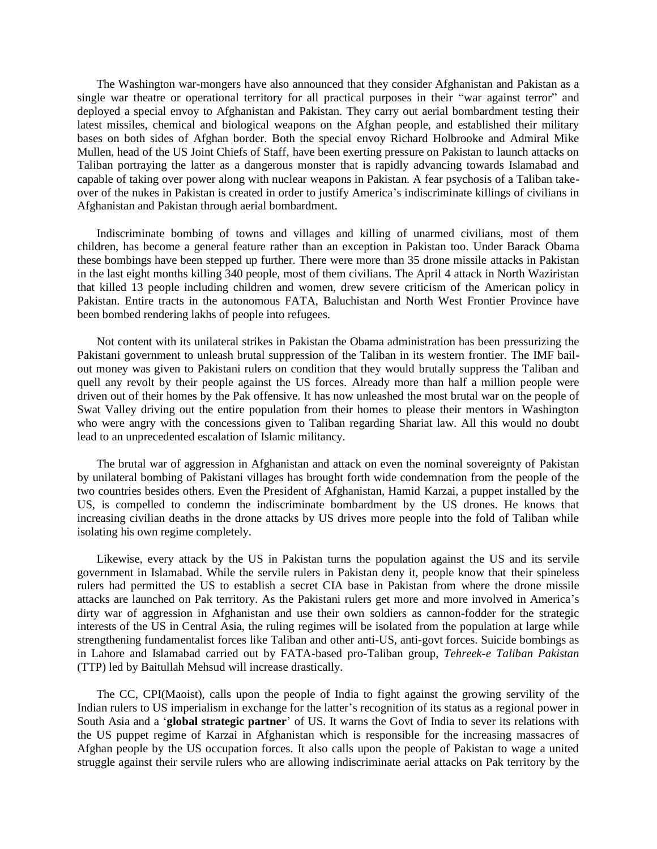The Washington war-mongers have also announced that they consider Afghanistan and Pakistan as a single war theatre or operational territory for all practical purposes in their "war against terror" and deployed a special envoy to Afghanistan and Pakistan. They carry out aerial bombardment testing their latest missiles, chemical and biological weapons on the Afghan people, and established their military bases on both sides of Afghan border. Both the special envoy Richard Holbrooke and Admiral Mike Mullen, head of the US Joint Chiefs of Staff, have been exerting pressure on Pakistan to launch attacks on Taliban portraying the latter as a dangerous monster that is rapidly advancing towards Islamabad and capable of taking over power along with nuclear weapons in Pakistan. A fear psychosis of a Taliban takeover of the nukes in Pakistan is created in order to justify America"s indiscriminate killings of civilians in Afghanistan and Pakistan through aerial bombardment.

Indiscriminate bombing of towns and villages and killing of unarmed civilians, most of them children, has become a general feature rather than an exception in Pakistan too. Under Barack Obama these bombings have been stepped up further. There were more than 35 drone missile attacks in Pakistan in the last eight months killing 340 people, most of them civilians. The April 4 attack in North Waziristan that killed 13 people including children and women, drew severe criticism of the American policy in Pakistan. Entire tracts in the autonomous FATA, Baluchistan and North West Frontier Province have been bombed rendering lakhs of people into refugees.

Not content with its unilateral strikes in Pakistan the Obama administration has been pressurizing the Pakistani government to unleash brutal suppression of the Taliban in its western frontier. The IMF bailout money was given to Pakistani rulers on condition that they would brutally suppress the Taliban and quell any revolt by their people against the US forces. Already more than half a million people were driven out of their homes by the Pak offensive. It has now unleashed the most brutal war on the people of Swat Valley driving out the entire population from their homes to please their mentors in Washington who were angry with the concessions given to Taliban regarding Shariat law. All this would no doubt lead to an unprecedented escalation of Islamic militancy.

The brutal war of aggression in Afghanistan and attack on even the nominal sovereignty of Pakistan by unilateral bombing of Pakistani villages has brought forth wide condemnation from the people of the two countries besides others. Even the President of Afghanistan, Hamid Karzai, a puppet installed by the US, is compelled to condemn the indiscriminate bombardment by the US drones. He knows that increasing civilian deaths in the drone attacks by US drives more people into the fold of Taliban while isolating his own regime completely.

Likewise, every attack by the US in Pakistan turns the population against the US and its servile government in Islamabad. While the servile rulers in Pakistan deny it, people know that their spineless rulers had permitted the US to establish a secret CIA base in Pakistan from where the drone missile attacks are launched on Pak territory. As the Pakistani rulers get more and more involved in America"s dirty war of aggression in Afghanistan and use their own soldiers as cannon-fodder for the strategic interests of the US in Central Asia, the ruling regimes will be isolated from the population at large while strengthening fundamentalist forces like Taliban and other anti-US, anti-govt forces. Suicide bombings as in Lahore and Islamabad carried out by FATA-based pro-Taliban group, *Tehreek-e Taliban Pakistan*  (TTP) led by Baitullah Mehsud will increase drastically.

The CC, CPI(Maoist), calls upon the people of India to fight against the growing servility of the Indian rulers to US imperialism in exchange for the latter's recognition of its status as a regional power in South Asia and a "**global strategic partner**" of US. It warns the Govt of India to sever its relations with the US puppet regime of Karzai in Afghanistan which is responsible for the increasing massacres of Afghan people by the US occupation forces. It also calls upon the people of Pakistan to wage a united struggle against their servile rulers who are allowing indiscriminate aerial attacks on Pak territory by the